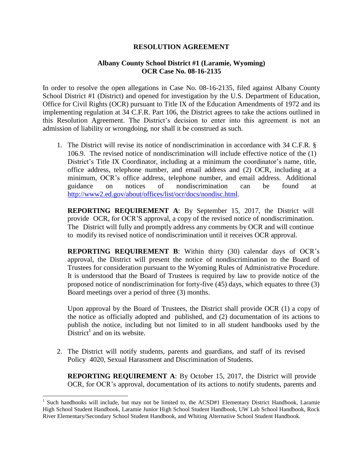## **RESOLUTION AGREEMENT**

## **Albany County School District #1 (Laramie, Wyoming) OCR Case No. 08-16-2135**

In order to resolve the open allegations in Case No. 08-16-2135, filed against Albany County School District #1 (District) and opened for investigation by the U.S. Department of Education, Office for Civil Rights (OCR) pursuant to Title IX of the Education Amendments of 1972 and its implementing regulation at 34 C.F.R. Part 106, the District agrees to take the actions outlined in this Resolution Agreement. The District's decision to enter into this agreement is not an admission of liability or wrongdoing, nor shall it be construed as such.

1. The District will revise its notice of nondiscrimination in accordance with 34 C.F.R. § 106.9. The revised notice of nondiscrimination will include effective notice of the (1) District's Title IX Coordinator, including at a minimum the coordinator's name, title, office address, telephone number, and email address and (2) OCR, including at a minimum, OCR's office address, telephone number, and email address. Additional guidance on notices of nondiscrimination can be found at [http://www2.ed.gov/about/offices/list/ocr/docs/nondisc.html.](http://www2.ed.gov/about/offices/list/ocr/docs/nondisc.html)

**REPORTING REQUIREMENT A**: By September 15, 2017, the District will provide OCR, for OCR'S approval, a copy of the revised notice of nondiscrimination. The District will fully and promptly address any comments by OCR and will continue to modify its revised notice of nondiscrimination until it receives OCR approval.

**REPORTING REQUIREMENT B**: Within thirty (30) calendar days of OCR's approval, the District will present the notice of nondiscrimination to the Board of Trustees for consideration pursuant to the Wyoming Rules of Administrative Procedure. It is understood that the Board of Trustees is required by law to provide notice of the proposed notice of nondiscrimination for forty-five (45) days, which equates to three (3) Board meetings over a period of three (3) months.

Upon approval by the Board of Trustees, the District shall provide OCR (1) a copy of the notice as officially adopted and published, and (2) documentation of its actions to publish the notice, including but not limited to in all student handbooks used by the District<sup>1</sup> and on its website.

2. The District will notify students, parents and guardians, and staff of its revised Policy 4020, Sexual Harassment and Discrimination of Students.

**REPORTING REQUIREMENT A**: By October 15, 2017, the District will provide OCR, for OCR's approval, documentation of its actions to notify students, parents and

 $\overline{\phantom{a}}$ 

<sup>&</sup>lt;sup>1</sup> Such handbooks will include, but may not be limited to, the ACSD#1 Elementary District Handbook, Laramie High School Student Handbook, Laramie Junior High School Student Handbook, UW Lab School Handbook, Rock River Elementary/Secondary School Student Handbook, and Whiting Alternative School Student Handbook.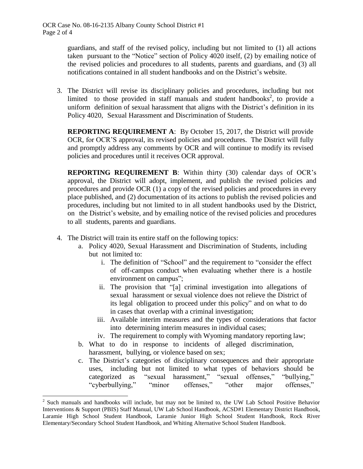guardians, and staff of the revised policy, including but not limited to (1) all actions taken pursuant to the "Notice" section of Policy 4020 itself, (2) by emailing notice of the revised policies and procedures to all students, parents and guardians, and (3) all notifications contained in all student handbooks and on the District's website.

limited to those provided in staff manuals and student handbooks<sup>2</sup>, to provide a 3. The District will revise its disciplinary policies and procedures, including but not uniform definition of sexual harassment that aligns with the District's definition in its Policy 4020, Sexual Harassment and Discrimination of Students.

**REPORTING REQUIREMENT A**: By October 15, 2017, the District will provide OCR, for OCR'S approval, its revised policies and procedures. The District will fully and promptly address any comments by OCR and will continue to modify its revised policies and procedures until it receives OCR approval.

**REPORTING REQUIREMENT B**: Within thirty (30) calendar days of OCR's approval, the District will adopt, implement, and publish the revised policies and procedures and provide OCR (1) a copy of the revised policies and procedures in every place published, and (2) documentation of its actions to publish the revised policies and procedures, including but not limited to in all student handbooks used by the District, on the District's website, and by emailing notice of the revised policies and procedures to all students, parents and guardians.

4. The District will train its entire staff on the following topics:

 $\overline{\phantom{a}}$ 

- a. Policy 4020, Sexual Harassment and Discrimination of Students, including but not limited to:
	- i. The definition of "School" and the requirement to "consider the effect of off-campus conduct when evaluating whether there is a hostile environment on campus";
	- ii. The provision that "[a] criminal investigation into allegations of sexual harassment or sexual violence does not relieve the District of its legal obligation to proceed under this policy" and on what to do in cases that overlap with a criminal investigation;
	- iii. Available interim measures and the types of considerations that factor into determining interim measures in individual cases;
	- iv. The requirement to comply with Wyoming mandatory reporting law;
- b. What to do in response to incidents of alleged discrimination, harassment, bullying, or violence based on sex;
- c. The District's categories of disciplinary consequences and their appropriate uses, including but not limited to what types of behaviors should be categorized as "sexual harassment," "sexual offenses," "bullying," "cyberbullying," "minor offenses," "other major offenses,"

 $2^2$  Such manuals and handbooks will include, but may not be limited to, the UW Lab School Positive Behavior Interventions & Support (PBIS) Staff Manual, UW Lab School Handbook, ACSD#1 Elementary District Handbook, Laramie High School Student Handbook, Laramie Junior High School Student Handbook, Rock River Elementary/Secondary School Student Handbook, and Whiting Alternative School Student Handbook.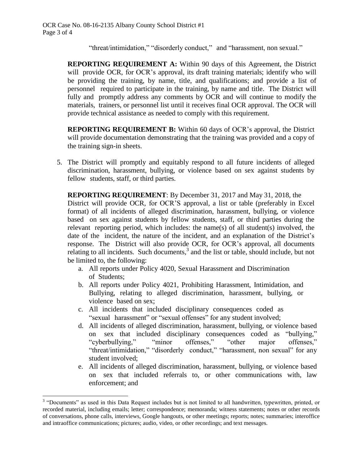"threat/intimidation," "disorderly conduct," and "harassment, non sexual."

**REPORTING REQUIREMENT A:** Within 90 days of this Agreement, the District will provide OCR, for OCR's approval, its draft training materials; identify who will be providing the training, by name, title, and qualifications; and provide a list of personnel required to participate in the training, by name and title. The District will fully and promptly address any comments by OCR and will continue to modify the materials, trainers, or personnel list until it receives final OCR approval. The OCR will provide technical assistance as needed to comply with this requirement.

**REPORTING REQUIREMENT B:** Within 60 days of OCR's approval, the District will provide documentation demonstrating that the training was provided and a copy of the training sign-in sheets.

5. The District will promptly and equitably respond to all future incidents of alleged discrimination, harassment, bullying, or violence based on sex against students by fellow students, staff, or third parties.

**REPORTING REQUIREMENT**: By December 31, 2017 and May 31, 2018, the District will provide OCR, for OCR'S approval, a list or table (preferably in Excel format) of all incidents of alleged discrimination, harassment, bullying, or violence based on sex against students by fellow students, staff, or third parties during the relevant reporting period, which includes: the name(s) of all student(s) involved, the date of the incident, the nature of the incident, and an explanation of the District's response. The District will also provide OCR, for OCR's approval, all documents relating to all incidents. Such documents, $3$  and the list or table, should include, but not be limited to, the following:

- a. All reports under Policy 4020, Sexual Harassment and Discrimination of Students;
- b. All reports under Policy 4021, Prohibiting Harassment, Intimidation, and Bullying, relating to alleged discrimination, harassment, bullying, or violence based on sex;
- c. All incidents that included disciplinary consequences coded as "sexual harassment" or "sexual offenses" for any student involved;
- d. All incidents of alleged discrimination, harassment, bullying, or violence based on sex that included disciplinary consequences coded as "bullying," "cyberbullying," "minor offenses," "other major offenses," "threat/intimidation," "disorderly conduct," "harassment, non sexual" for any student involved;
- e. All incidents of alleged discrimination, harassment, bullying, or violence based on sex that included referrals to, or other communications with, law enforcement; and

 $\overline{\phantom{a}}$ 

<sup>&</sup>lt;sup>3</sup> "Documents" as used in this Data Request includes but is not limited to all handwritten, typewritten, printed, or recorded material, including emails; letter; correspondence; memoranda; witness statements; notes or other records of conversations, phone calls, interviews, Google hangouts, or other meetings; reports; notes; summaries; interoffice and intraoffice communications; pictures; audio, video, or other recordings; and text messages.